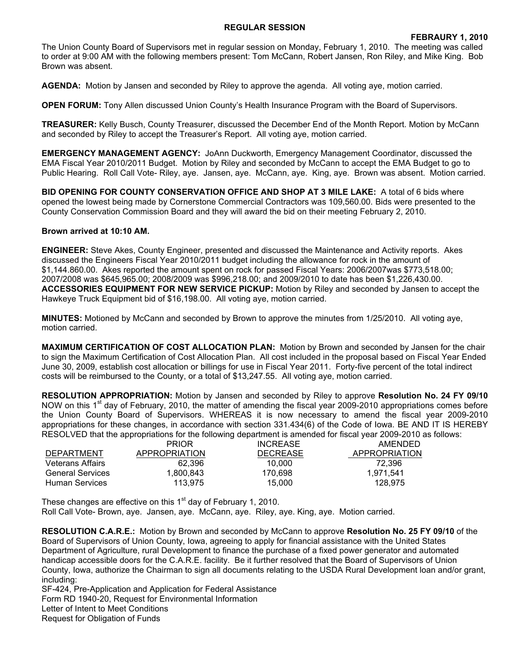## **REGULAR SESSION**

The Union County Board of Supervisors met in regular session on Monday, February 1, 2010. The meeting was called to order at 9:00 AM with the following members present: Tom McCann, Robert Jansen, Ron Riley, and Mike King. Bob Brown was absent.

**AGENDA:** Motion by Jansen and seconded by Riley to approve the agenda. All voting aye, motion carried.

**OPEN FORUM:** Tony Allen discussed Union County's Health Insurance Program with the Board of Supervisors.

**TREASURER:** Kelly Busch, County Treasurer, discussed the December End of the Month Report. Motion by McCann and seconded by Riley to accept the Treasurer's Report. All voting aye, motion carried.

**EMERGENCY MANAGEMENT AGENCY:** JoAnn Duckworth, Emergency Management Coordinator, discussed the EMA Fiscal Year 2010/2011 Budget. Motion by Riley and seconded by McCann to accept the EMA Budget to go to Public Hearing. Roll Call Vote- Riley, aye. Jansen, aye. McCann, aye. King, aye. Brown was absent. Motion carried.

**BID OPENING FOR COUNTY CONSERVATION OFFICE AND SHOP AT 3 MILE LAKE:** A total of 6 bids where opened the lowest being made by Cornerstone Commercial Contractors was 109,560.00. Bids were presented to the County Conservation Commission Board and they will award the bid on their meeting February 2, 2010.

## **Brown arrived at 10:10 AM.**

**ENGINEER:** Steve Akes, County Engineer, presented and discussed the Maintenance and Activity reports. Akes discussed the Engineers Fiscal Year 2010/2011 budget including the allowance for rock in the amount of \$1,144.860.00. Akes reported the amount spent on rock for passed Fiscal Years: 2006/2007was \$773,518.00; 2007/2008 was \$645,965.00; 2008/2009 was \$996,218.00; and 2009/2010 to date has been \$1,226,430.00. **ACCESSORIES EQUIPMENT FOR NEW SERVICE PICKUP:** Motion by Riley and seconded by Jansen to accept the Hawkeye Truck Equipment bid of \$16,198.00. All voting aye, motion carried.

**MINUTES:** Motioned by McCann and seconded by Brown to approve the minutes from 1/25/2010. All voting aye, motion carried.

**MAXIMUM CERTIFICATION OF COST ALLOCATION PLAN:** Motion by Brown and seconded by Jansen for the chair to sign the Maximum Certification of Cost Allocation Plan. All cost included in the proposal based on Fiscal Year Ended June 30, 2009, establish cost allocation or billings for use in Fiscal Year 2011. Forty-five percent of the total indirect costs will be reimbursed to the County, or a total of \$13,247.55. All voting aye, motion carried.

**RESOLUTION APPROPRIATION:** Motion by Jansen and seconded by Riley to approve **Resolution No. 24 FY 09/10** NOW on this 1<sup>st</sup> day of February, 2010, the matter of amending the fiscal year 2009-2010 appropriations comes before the Union County Board of Supervisors. WHEREAS it is now necessary to amend the fiscal year 2009-2010 appropriations for these changes, in accordance with section 331.434(6) of the Code of Iowa. BE AND IT IS HEREBY RESOLVED that the appropriations for the following department is amended for fiscal year 2009-2010 as follows:

|                         | <b>PRIOR</b>         | <b>INCREASE</b> | AMENDED              |
|-------------------------|----------------------|-----------------|----------------------|
| DEPARTMENT              | <b>APPROPRIATION</b> | <b>DECREASE</b> | <b>APPROPRIATION</b> |
| <b>Veterans Affairs</b> | 62.396               | 10.000          | 72.396               |
| <b>General Services</b> | 1.800.843            | 170.698         | 1.971.541            |
| Human Services          | 113.975              | 15.000          | 128.975              |

These changes are effective on this  $1<sup>st</sup>$  day of February 1, 2010.

Roll Call Vote- Brown, aye. Jansen, aye. McCann, aye. Riley, aye. King, aye. Motion carried.

**RESOLUTION C.A.R.E.:** Motion by Brown and seconded by McCann to approve **Resolution No. 25 FY 09/10** of the Board of Supervisors of Union County, Iowa, agreeing to apply for financial assistance with the United States Department of Agriculture, rural Development to finance the purchase of a fixed power generator and automated handicap accessible doors for the C.A.R.E. facility. Be it further resolved that the Board of Supervisors of Union County, Iowa, authorize the Chairman to sign all documents relating to the USDA Rural Development loan and/or grant, including:

SF-424, Pre-Application and Application for Federal Assistance Form RD 1940-20, Request for Environmental Information Letter of Intent to Meet Conditions Request for Obligation of Funds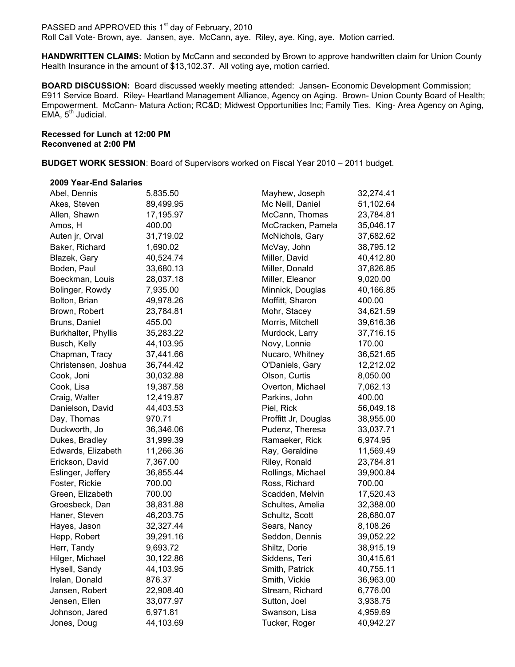PASSED and APPROVED this 1<sup>st</sup> day of February, 2010 Roll Call Vote- Brown, aye. Jansen, aye. McCann, aye. Riley, aye. King, aye. Motion carried.

**HANDWRITTEN CLAIMS:** Motion by McCann and seconded by Brown to approve handwritten claim for Union County Health Insurance in the amount of \$13,102.37. All voting aye, motion carried.

**BOARD DISCUSSION:** Board discussed weekly meeting attended:Jansen- Economic Development Commission; E911 Service Board. Riley- Heartland Management Alliance, Agency on Aging. Brown- Union County Board of Health; Empowerment. McCann- Matura Action; RC&D; Midwest Opportunities Inc; Family Ties. King- Area Agency on Aging, EMA,  $5<sup>th</sup>$  Judicial.

**Recessed for Lunch at 12:00 PM Reconvened at 2:00 PM**

**BUDGET WORK SESSION**: Board of Supervisors worked on Fiscal Year 2010 – 2011 budget.

## **2009 Year-End Salaries**

| Abel, Dennis        | 5,835.50  | Mayhew, Joseph           | 32,274.41 |
|---------------------|-----------|--------------------------|-----------|
| Akes, Steven        | 89,499.95 | Mc Neill, Daniel         | 51,102.64 |
| Allen, Shawn        | 17,195.97 | McCann, Thomas           | 23,784.81 |
| Amos, H             | 400.00    | McCracken, Pamela        |           |
| Auten jr, Orval     | 31,719.02 | McNichols, Gary          |           |
| Baker, Richard      | 1,690.02  | McVay, John              |           |
| Blazek, Gary        | 40,524.74 | Miller, David            | 40,412.80 |
| Boden, Paul         | 33,680.13 | Miller, Donald           | 37,826.85 |
| Boeckman, Louis     | 28,037.18 | Miller, Eleanor          | 9,020.00  |
| Bolinger, Rowdy     | 7,935.00  | Minnick, Douglas         | 40,166.85 |
| Bolton, Brian       | 49,978.26 | Moffitt, Sharon          | 400.00    |
| Brown, Robert       | 23,784.81 | Mohr, Stacey             | 34,621.59 |
| Bruns, Daniel       | 455.00    | Morris, Mitchell         | 39,616.36 |
| Burkhalter, Phyllis | 35,283.22 | Murdock, Larry           | 37,716.15 |
| Busch, Kelly        | 44,103.95 | Novy, Lonnie             | 170.00    |
| Chapman, Tracy      | 37,441.66 | Nucaro, Whitney          | 36,521.65 |
| Christensen, Joshua | 36,744.42 | O'Daniels, Gary          | 12,212.02 |
| Cook, Joni          | 30,032.88 | Olson, Curtis            | 8,050.00  |
| Cook, Lisa          | 19,387.58 | Overton, Michael         | 7,062.13  |
| Craig, Walter       | 12,419.87 | Parkins, John            | 400.00    |
| Danielson, David    | 44,403.53 | Piel, Rick               | 56,049.18 |
| Day, Thomas         | 970.71    | Proffitt Jr, Douglas     | 38,955.00 |
| Duckworth, Jo       | 36,346.06 | Pudenz, Theresa          | 33,037.71 |
| Dukes, Bradley      | 31,999.39 | Ramaeker, Rick           | 6,974.95  |
| Edwards, Elizabeth  | 11,266.36 | Ray, Geraldine           | 11,569.49 |
| Erickson, David     | 7,367.00  | Riley, Ronald            | 23,784.81 |
| Eslinger, Jeffery   | 36,855.44 | Rollings, Michael        | 39,900.84 |
| Foster, Rickie      | 700.00    | Ross, Richard            | 700.00    |
| Green, Elizabeth    | 700.00    | Scadden, Melvin          | 17,520.43 |
| Groesbeck, Dan      | 38,831.88 | Schultes, Amelia         | 32,388.00 |
| Haner, Steven       | 46,203.75 | Schultz, Scott           | 28,680.07 |
| Hayes, Jason        | 32,327.44 | Sears, Nancy             | 8,108.26  |
| Hepp, Robert        | 39,291.16 | Seddon, Dennis           | 39,052.22 |
| Herr, Tandy         | 9,693.72  | Shiltz, Dorie            | 38,915.19 |
| Hilger, Michael     | 30,122.86 | Siddens, Teri            | 30,415.61 |
| Hysell, Sandy       | 44,103.95 | Smith, Patrick           | 40,755.11 |
| Irelan, Donald      | 876.37    | Smith, Vickie            | 36,963.00 |
| Jansen, Robert      | 22,908.40 | Stream, Richard          | 6,776.00  |
| Jensen, Ellen       | 33,077.97 | 3,938.75<br>Sutton, Joel |           |
| Johnson, Jared      | 6,971.81  | Swanson, Lisa            | 4,959.69  |
| Jones, Doug         | 44,103.69 | Tucker, Roger            | 40,942.27 |